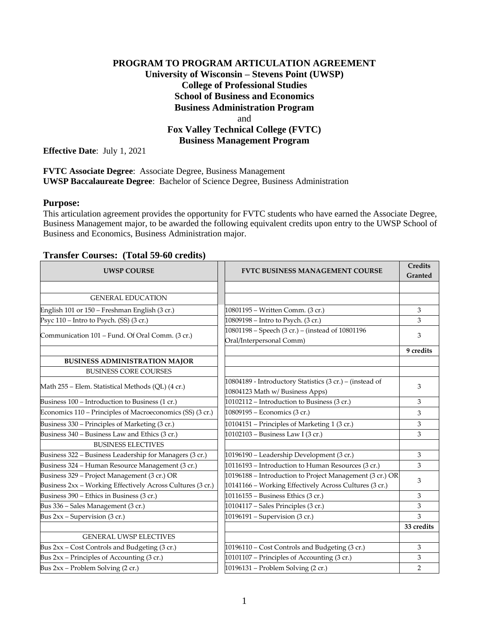# **PROGRAM TO PROGRAM ARTICULATION AGREEMENT University of Wisconsin – Stevens Point (UWSP) College of Professional Studies School of Business and Economics Business Administration Program** and **Fox Valley Technical College (FVTC) Business Management Program**

**Effective Date**: July 1, 2021

**FVTC Associate Degree**: Associate Degree, Business Management **UWSP Baccalaureate Degree**: Bachelor of Science Degree, Business Administration

### **Purpose:**

This articulation agreement provides the opportunity for FVTC students who have earned the Associate Degree, Business Management major, to be awarded the following equivalent credits upon entry to the UWSP School of Business and Economics, Business Administration major.

### **Transfer Courses: (Total 59-60 credits)**

| <b>UWSP COURSE</b>                                                                                         | <b>FVTC BUSINESS MANAGEMENT COURSE</b>                                                                             | <b>Credits</b><br>Granted |
|------------------------------------------------------------------------------------------------------------|--------------------------------------------------------------------------------------------------------------------|---------------------------|
|                                                                                                            |                                                                                                                    |                           |
| <b>GENERAL EDUCATION</b>                                                                                   |                                                                                                                    |                           |
| English 101 or 150 - Freshman English (3 cr.)                                                              | 10801195 - Written Comm. (3 cr.)                                                                                   | 3                         |
| Psyc 110 – Intro to Psych. (SS) (3 cr.)                                                                    | 10809198 - Intro to Psych. (3 cr.)                                                                                 | 3                         |
| Communication 101 – Fund. Of Oral Comm. (3 cr.)                                                            | 10801198 - Speech (3 cr.) - (instead of 10801196<br>Oral/Interpersonal Comm)                                       | 3                         |
|                                                                                                            |                                                                                                                    | 9 credits                 |
| <b>BUSINESS ADMINISTRATION MAJOR</b>                                                                       |                                                                                                                    |                           |
| <b>BUSINESS CORE COURSES</b>                                                                               |                                                                                                                    |                           |
| Math 255 – Elem. Statistical Methods (QL) (4 cr.)                                                          | 10804189 - Introductory Statistics (3 cr.) - (instead of<br>10804123 Math w/ Business Apps)                        | 3                         |
| Business 100 - Introduction to Business (1 cr.)                                                            | 10102112 – Introduction to Business (3 cr.)                                                                        | 3                         |
| Economics 110 – Principles of Macroeconomics (SS) (3 cr.)                                                  | 10809195 - Economics (3 cr.)                                                                                       | 3                         |
| Business 330 – Principles of Marketing (3 cr.)                                                             | 10104151 – Principles of Marketing 1 (3 cr.)                                                                       | 3                         |
| Business 340 - Business Law and Ethics (3 cr.)                                                             | 10102103 - Business Law I (3 cr.)                                                                                  | 3                         |
| <b>BUSINESS ELECTIVES</b>                                                                                  |                                                                                                                    |                           |
| Business 322 - Business Leadership for Managers (3 cr.)                                                    | 10196190 - Leadership Development (3 cr.)                                                                          | $\mathfrak{Z}$            |
| Business 324 - Human Resource Management (3 cr.)                                                           | 10116193 – Introduction to Human Resources (3 cr.)                                                                 | 3                         |
| Business 329 - Project Management (3 cr.) OR<br>Business 2xx - Working Effectively Across Cultures (3 cr.) | 10196188 - Introduction to Project Management (3 cr.) OR<br>10141166 - Working Effectively Across Cultures (3 cr.) | 3                         |
| Business 390 - Ethics in Business (3 cr.)                                                                  | 10116155 - Business Ethics (3 cr.)                                                                                 | 3                         |
| Bus 336 - Sales Management (3 cr.)                                                                         | 10104117 - Sales Principles (3 cr.)                                                                                | 3                         |
| Bus $2xx$ – Supervision (3 cr.)                                                                            | 10196191 - Supervision (3 cr.)                                                                                     | 3                         |
|                                                                                                            |                                                                                                                    | 33 credits                |
| <b>GENERAL UWSP ELECTIVES</b>                                                                              |                                                                                                                    |                           |
| Bus 2xx - Cost Controls and Budgeting (3 cr.)                                                              | 10196110 - Cost Controls and Budgeting (3 cr.)                                                                     | 3                         |
| Bus 2xx - Principles of Accounting (3 cr.)                                                                 | 10101107 - Principles of Accounting (3 cr.)                                                                        | 3                         |
| Bus 2xx - Problem Solving (2 cr.)                                                                          | 10196131 - Problem Solving (2 cr.)                                                                                 | $\overline{2}$            |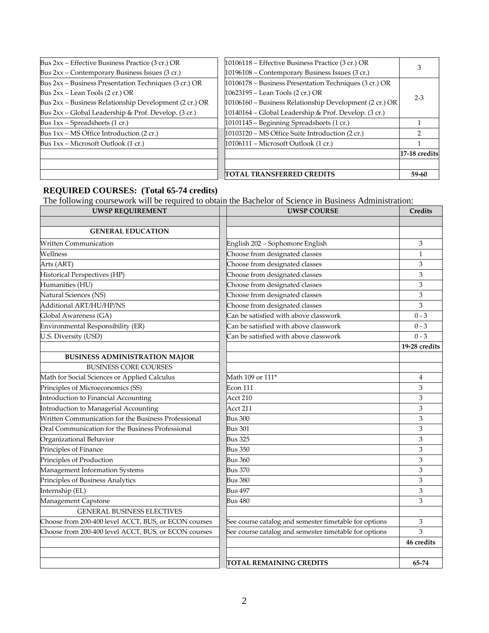| Bus 2xx - Effective Business Practice (3 cr.) OR       | 10106118 – Effective Business Practice (3 cr.) OR       | $2 - 3$       |
|--------------------------------------------------------|---------------------------------------------------------|---------------|
| Bus 2xx – Contemporary Business Issues (3 cr.)         | 10196108 - Contemporary Business Issues (3 cr.)         |               |
| Bus 2xx – Business Presentation Techniques (3 cr.) OR  | 10106178 – Business Presentation Techniques (3 cr.) OR  |               |
| Bus $2xx$ – Lean Tools $(2 \text{ cr.})$ OR            | 10623195 – Lean Tools (2 cr.) OR                        |               |
| Bus 2xx - Business Relationship Development (2 cr.) OR | 10106160 - Business Relationship Development (2 cr.) OR |               |
| Bus $2xx$ – Global Leadership & Prof. Develop. (3 cr.) | 10140164 – Global Leadership & Prof. Develop. (3 cr.)   |               |
| Bus $1xx$ – Spreadsheets (1 cr.)                       | 10101145 - Beginning Spreadsheets (1 cr.)               |               |
| Bus 1xx – MS Office Introduction (2 cr.)               | 10103120 - MS Office Suite Introduction (2 cr.)         |               |
| Bus $1xx$ – Microsoft Outlook $(1 \text{ cr.})$        | $10106111$ – Microsoft Outlook (1 cr.)                  |               |
|                                                        |                                                         | 17-18 credits |
|                                                        |                                                         |               |
|                                                        | TOTAL TRANSFERRED CREDITS                               | 59-60         |

#### **REQUIRED COURSES: (Total 65-74 credits)**

The following coursework will be required to obtain the Bachelor of Science in Business Administration:

| <b>UWSP REQUIREMENT</b>                              | <b>UWSP COURSE</b>                                    | Credits        |
|------------------------------------------------------|-------------------------------------------------------|----------------|
|                                                      |                                                       |                |
| <b>GENERAL EDUCATION</b>                             |                                                       |                |
| <b>Written Communication</b>                         | English 202 - Sophomore English                       | 3              |
| Wellness                                             | Choose from designated classes                        | $\mathbf{1}$   |
| Arts (ART)                                           | Choose from designated classes                        | 3              |
| Historical Perspectives (HP)                         | Choose from designated classes                        | 3              |
| Humanities (HU)                                      | Choose from designated classes                        | 3              |
| Natural Sciences (NS)                                | Choose from designated classes                        | 3              |
| Additional ART/HU/HP/NS                              | Choose from designated classes                        | 3              |
| Global Awareness (GA)                                | Can be satisfied with above classwork                 | $0 - 3$        |
| Environmental Responsibility (ER)                    | Can be satisfied with above classwork                 | $0 - 3$        |
| U.S. Diversity (USD)                                 | Can be satisfied with above classwork                 | $0 - 3$        |
|                                                      |                                                       | 19-28 credits  |
| <b>BUSINESS ADMINISTRATION MAJOR</b>                 |                                                       |                |
| <b>BUSINESS CORE COURSES</b>                         |                                                       |                |
| Math for Social Sciences or Applied Calculus         | Math 109 or 111*                                      | $\overline{4}$ |
| Principles of Microeconomics (SS)                    | Econ 111                                              | 3              |
| Introduction to Financial Accounting                 | Acct 210                                              | 3              |
| Introduction to Managerial Accounting                | Acct 211                                              | 3              |
| Written Communication for the Business Professional  | <b>Bus 300</b>                                        | 3              |
| Oral Communication for the Business Professional     | <b>Bus 301</b>                                        | 3              |
| Organizational Behavior                              | <b>Bus 325</b>                                        | 3              |
| Principles of Finance                                | <b>Bus 350</b>                                        | 3              |
| Principles of Production                             | <b>Bus 360</b>                                        | 3              |
| Management Information Systems                       | <b>Bus 370</b>                                        | 3              |
| Principles of Business Analytics                     | <b>Bus 380</b>                                        | 3              |
| Internship (EL)                                      | <b>Bus 497</b>                                        | 3              |
| Management Capstone                                  | <b>Bus 480</b>                                        | 3              |
| <b>GENERAL BUSINESS ELECTIVES</b>                    |                                                       |                |
| Choose from 200-400 level ACCT, BUS, or ECON courses | See course catalog and semester timetable for options | 3              |
| Choose from 200-400 level ACCT, BUS, or ECON courses | See course catalog and semester timetable for options | 3              |
|                                                      |                                                       | 46 credits     |
|                                                      |                                                       |                |
|                                                      | TOTAL REMAINING CREDITS                               | 65-74          |